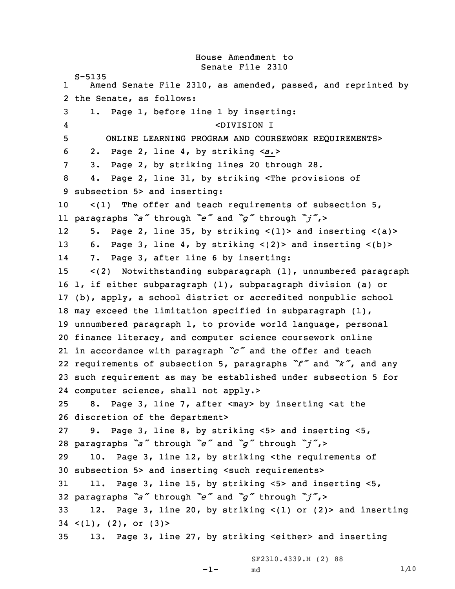House Amendment to Senate File 2310 S-5135 1 Amend Senate File 2310, as amended, passed, and reprinted by the Senate, as follows: 1. Page 1, before line 1 by inserting: 4 <DIVISION I ONLINE LEARNING PROGRAM AND COURSEWORK REQUIREMENTS> 2. Page 2, line 4, by striking <sup>&</sup>lt;*a.*<sup>&</sup>gt; 3. Page 2, by striking lines 20 through 28. 4. Page 2, line 31, by striking <The provisions of subsection 5> and inserting: <(1) The offer and teach requirements of subsection 5, paragraphs *"a"* through *"e"* and *"g"* through *"j"*,<sup>&</sup>gt; 125. Page 2, line 35, by striking  $\langle 1 \rangle$  and inserting  $\langle a \rangle$  6. Page 3, line 4, by striking <(2)> and inserting <(b)> 14 7. Page 3, after line 6 by inserting: <(2) Notwithstanding subparagraph (1), unnumbered paragraph 1, if either subparagraph (1), subparagraph division (a) or (b), apply, <sup>a</sup> school district or accredited nonpublic school may exceed the limitation specified in subparagraph (1), unnumbered paragraph 1, to provide world language, personal finance literacy, and computer science coursework online in accordance with paragraph *"c"* and the offer and teach requirements of subsection 5, paragraphs *"f"* and *"k"*, and any such requirement as may be established under subsection 5 for computer science, shall not apply.> 8. Page 3, line 7, after <may> by inserting <at the discretion of the department> 9. Page 3, line 8, by striking <5> and inserting <5, paragraphs *"a"* through *"e"* and *"g"* through *"j"*,<sup>&</sup>gt; 10. Page 3, line 12, by striking <the requirements of subsection 5> and inserting <such requirements> 11. Page 3, line 15, by striking <5> and inserting <5, paragraphs *"a"* through *"e"* and *"g"* through *"j"*,<sup>&</sup>gt; 12. Page 3, line 20, by striking <(1) or (2)> and inserting  $34 \leq (1)$ ,  $(2)$ , or  $(3)$ 13. Page 3, line 27, by striking <either> and inserting

```
md 1/\sqrt{10}
```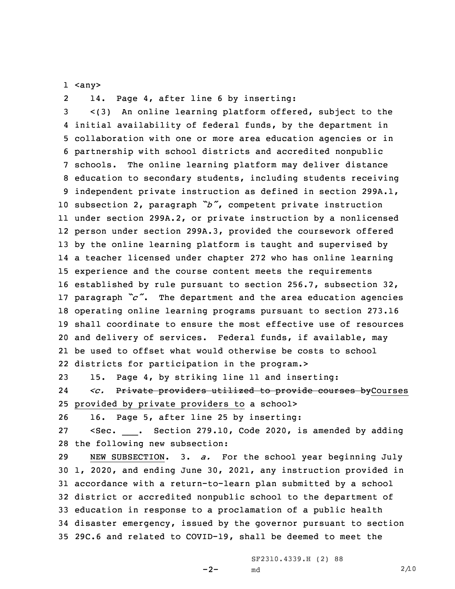1 <any>

214. Page 4, after line 6 by inserting:

 <(3) An online learning platform offered, subject to the initial availability of federal funds, by the department in collaboration with one or more area education agencies or in partnership with school districts and accredited nonpublic schools. The online learning platform may deliver distance education to secondary students, including students receiving independent private instruction as defined in section 299A.1, subsection 2, paragraph *"b"*, competent private instruction under section 299A.2, or private instruction by <sup>a</sup> nonlicensed person under section 299A.3, provided the coursework offered by the online learning platform is taught and supervised by <sup>a</sup> teacher licensed under chapter 272 who has online learning experience and the course content meets the requirements established by rule pursuant to section 256.7, subsection 32, paragraph *"c"*. The department and the area education agencies operating online learning programs pursuant to section 273.16 shall coordinate to ensure the most effective use of resources and delivery of services. Federal funds, if available, may be used to offset what would otherwise be costs to school districts for participation in the program.>

23 15. Page 4, by striking line 11 and inserting: 24 *<c.* Private providers utilized to provide courses byCourses 25 provided by private providers to <sup>a</sup> school>

26 16. Page 5, after line 25 by inserting:

27 <Sec. \_\_\_. Section 279.10, Code 2020, is amended by adding 28 the following new subsection:

 NEW SUBSECTION. 3. *a.* For the school year beginning July 1, 2020, and ending June 30, 2021, any instruction provided in accordance with <sup>a</sup> return-to-learn plan submitted by <sup>a</sup> school district or accredited nonpublic school to the department of education in response to <sup>a</sup> proclamation of <sup>a</sup> public health disaster emergency, issued by the governor pursuant to section 29C.6 and related to COVID-19, shall be deemed to meet the

 $-2-$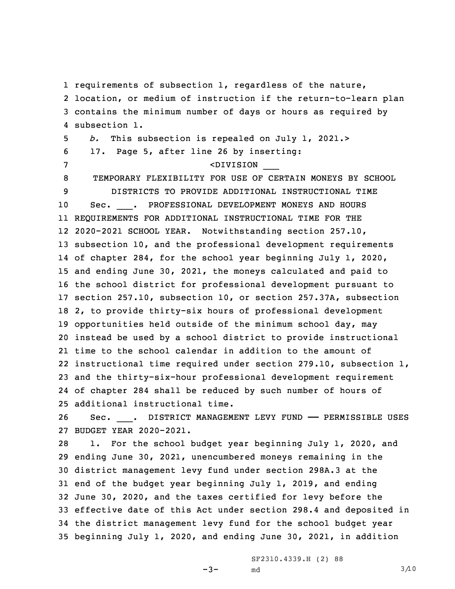requirements of subsection 1, regardless of the nature, location, or medium of instruction if the return-to-learn plan contains the minimum number of days or hours as required by subsection 1. *b.* This subsection is repealed on July 1, 2021.> 17. Page 5, after line 26 by inserting: <DIVISION \_\_\_ TEMPORARY FLEXIBILITY FOR USE OF CERTAIN MONEYS BY SCHOOL DISTRICTS TO PROVIDE ADDITIONAL INSTRUCTIONAL TIME 10 Sec. PROFESSIONAL DEVELOPMENT MONEYS AND HOURS REQUIREMENTS FOR ADDITIONAL INSTRUCTIONAL TIME FOR THE 2020-2021 SCHOOL YEAR. Notwithstanding section 257.10, subsection 10, and the professional development requirements of chapter 284, for the school year beginning July 1, 2020, and ending June 30, 2021, the moneys calculated and paid to the school district for professional development pursuant to section 257.10, subsection 10, or section 257.37A, subsection 2, to provide thirty-six hours of professional development opportunities held outside of the minimum school day, may instead be used by <sup>a</sup> school district to provide instructional time to the school calendar in addition to the amount of instructional time required under section 279.10, subsection 1, and the thirty-six-hour professional development requirement of chapter 284 shall be reduced by such number of hours of additional instructional time.

26 Sec. \_\_\_. DISTRICT MANAGEMENT LEVY FUND —— PERMISSIBLE USES 27 BUDGET YEAR 2020-2021.

 1. For the school budget year beginning July 1, 2020, and ending June 30, 2021, unencumbered moneys remaining in the district management levy fund under section 298A.3 at the end of the budget year beginning July 1, 2019, and ending June 30, 2020, and the taxes certified for levy before the effective date of this Act under section 298.4 and deposited in the district management levy fund for the school budget year beginning July 1, 2020, and ending June 30, 2021, in addition

 $-3-$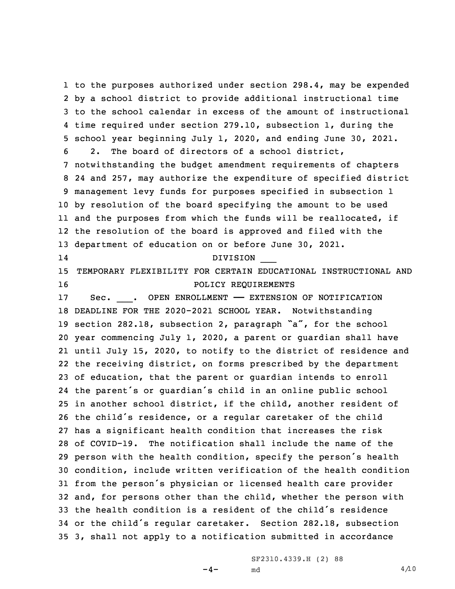to the purposes authorized under section 298.4, may be expended by <sup>a</sup> school district to provide additional instructional time to the school calendar in excess of the amount of instructional time required under section 279.10, subsection 1, during the school year beginning July 1, 2020, and ending June 30, 2021. 2. The board of directors of <sup>a</sup> school district, notwithstanding the budget amendment requirements of chapters 24 and 257, may authorize the expenditure of specified district management levy funds for purposes specified in subsection 1 by resolution of the board specifying the amount to be used and the purposes from which the funds will be reallocated, if the resolution of the board is approved and filed with the department of education on or before June 30, 2021. 14 DIVISION \_\_\_ TEMPORARY FLEXIBILITY FOR CERTAIN EDUCATIONAL INSTRUCTIONAL AND 16 POLICY REQUIREMENTS Sec. \_\_\_. OPEN ENROLLMENT —— EXTENSION OF NOTIFICATION DEADLINE FOR THE 2020-2021 SCHOOL YEAR. Notwithstanding section 282.18, subsection 2, paragraph "a", for the school year commencing July 1, 2020, <sup>a</sup> parent or guardian shall have until July 15, 2020, to notify to the district of residence and the receiving district, on forms prescribed by the department of education, that the parent or guardian intends to enroll the parent's or guardian's child in an online public school in another school district, if the child, another resident of the child's residence, or <sup>a</sup> regular caretaker of the child has <sup>a</sup> significant health condition that increases the risk of COVID-19. The notification shall include the name of the person with the health condition, specify the person's health condition, include written verification of the health condition from the person's physician or licensed health care provider and, for persons other than the child, whether the person with the health condition is <sup>a</sup> resident of the child's residence or the child's regular caretaker. Section 282.18, subsection 3, shall not apply to <sup>a</sup> notification submitted in accordance

 $-4-$ 

SF2310.4339.H (2) 88 md  $4/\sqrt{10}$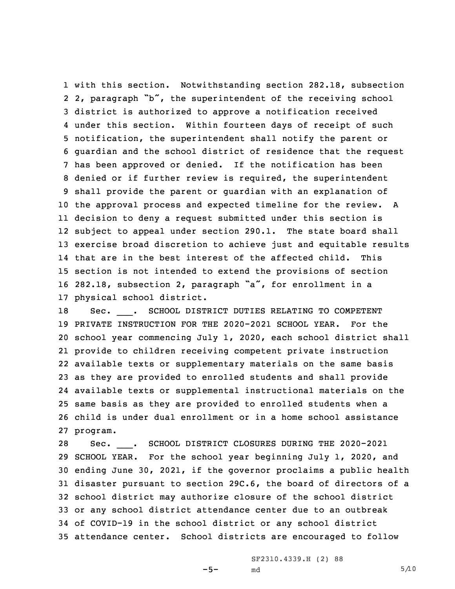with this section. Notwithstanding section 282.18, subsection 2, paragraph "b", the superintendent of the receiving school district is authorized to approve <sup>a</sup> notification received under this section. Within fourteen days of receipt of such notification, the superintendent shall notify the parent or guardian and the school district of residence that the request has been approved or denied. If the notification has been denied or if further review is required, the superintendent shall provide the parent or guardian with an explanation of the approval process and expected timeline for the review. <sup>A</sup> decision to deny <sup>a</sup> request submitted under this section is subject to appeal under section 290.1. The state board shall exercise broad discretion to achieve just and equitable results that are in the best interest of the affected child. This section is not intended to extend the provisions of section 282.18, subsection 2, paragraph "a", for enrollment in <sup>a</sup> physical school district.

 Sec. \_\_\_. SCHOOL DISTRICT DUTIES RELATING TO COMPETENT PRIVATE INSTRUCTION FOR THE 2020-2021 SCHOOL YEAR. For the school year commencing July 1, 2020, each school district shall provide to children receiving competent private instruction available texts or supplementary materials on the same basis as they are provided to enrolled students and shall provide available texts or supplemental instructional materials on the same basis as they are provided to enrolled students when <sup>a</sup> child is under dual enrollment or in <sup>a</sup> home school assistance 27 program.

 Sec. \_\_\_. SCHOOL DISTRICT CLOSURES DURING THE 2020-2021 SCHOOL YEAR. For the school year beginning July 1, 2020, and ending June 30, 2021, if the governor proclaims <sup>a</sup> public health disaster pursuant to section 29C.6, the board of directors of <sup>a</sup> school district may authorize closure of the school district or any school district attendance center due to an outbreak of COVID-19 in the school district or any school district attendance center. School districts are encouraged to follow

 $-5-$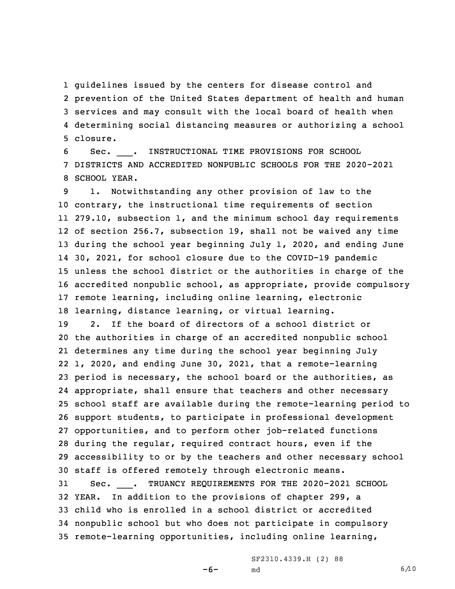guidelines issued by the centers for disease control and prevention of the United States department of health and human services and may consult with the local board of health when determining social distancing measures or authorizing <sup>a</sup> school 5 closure.

6 Sec. \_\_\_. INSTRUCTIONAL TIME PROVISIONS FOR SCHOOL 7 DISTRICTS AND ACCREDITED NONPUBLIC SCHOOLS FOR THE 2020-2021 8 SCHOOL YEAR.

 1. Notwithstanding any other provision of law to the contrary, the instructional time requirements of section 279.10, subsection 1, and the minimum school day requirements of section 256.7, subsection 19, shall not be waived any time during the school year beginning July 1, 2020, and ending June 30, 2021, for school closure due to the COVID-19 pandemic unless the school district or the authorities in charge of the accredited nonpublic school, as appropriate, provide compulsory remote learning, including online learning, electronic learning, distance learning, or virtual learning.

 2. If the board of directors of <sup>a</sup> school district or the authorities in charge of an accredited nonpublic school determines any time during the school year beginning July 1, 2020, and ending June 30, 2021, that <sup>a</sup> remote-learning period is necessary, the school board or the authorities, as appropriate, shall ensure that teachers and other necessary school staff are available during the remote-learning period to support students, to participate in professional development opportunities, and to perform other job-related functions during the regular, required contract hours, even if the accessibility to or by the teachers and other necessary school staff is offered remotely through electronic means. Sec. \_\_\_. TRUANCY REQUIREMENTS FOR THE 2020-2021 SCHOOL YEAR. In addition to the provisions of chapter 299, <sup>a</sup> child who is enrolled in <sup>a</sup> school district or accredited nonpublic school but who does not participate in compulsory

35 remote-learning opportunities, including online learning,

-6-

SF2310.4339.H (2) 88 md 6/10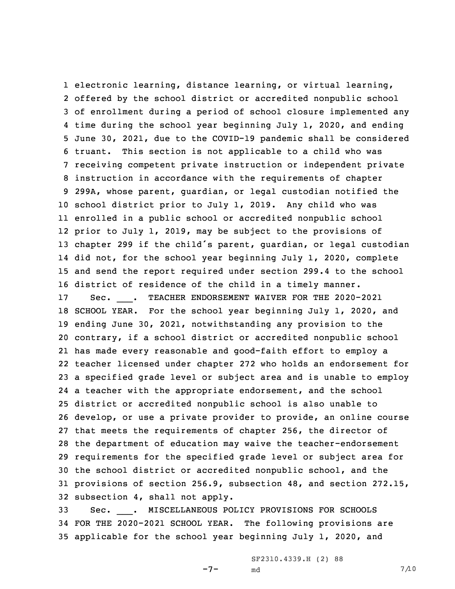electronic learning, distance learning, or virtual learning, offered by the school district or accredited nonpublic school of enrollment during <sup>a</sup> period of school closure implemented any time during the school year beginning July 1, 2020, and ending June 30, 2021, due to the COVID-19 pandemic shall be considered truant. This section is not applicable to <sup>a</sup> child who was receiving competent private instruction or independent private instruction in accordance with the requirements of chapter 299A, whose parent, guardian, or legal custodian notified the school district prior to July 1, 2019. Any child who was enrolled in <sup>a</sup> public school or accredited nonpublic school prior to July 1, 2019, may be subject to the provisions of chapter <sup>299</sup> if the child's parent, guardian, or legal custodian did not, for the school year beginning July 1, 2020, complete and send the report required under section 299.4 to the school district of residence of the child in <sup>a</sup> timely manner. 17 Sec. TEACHER ENDORSEMENT WAIVER FOR THE 2020-2021 SCHOOL YEAR. For the school year beginning July 1, 2020, and ending June 30, 2021, notwithstanding any provision to the contrary, if <sup>a</sup> school district or accredited nonpublic school has made every reasonable and good-faith effort to employ <sup>a</sup> teacher licensed under chapter 272 who holds an endorsement for <sup>a</sup> specified grade level or subject area and is unable to employ <sup>a</sup> teacher with the appropriate endorsement, and the school district or accredited nonpublic school is also unable to develop, or use <sup>a</sup> private provider to provide, an online course that meets the requirements of chapter 256, the director of the department of education may waive the teacher-endorsement requirements for the specified grade level or subject area for the school district or accredited nonpublic school, and the provisions of section 256.9, subsection 48, and section 272.15, subsection 4, shall not apply.

33 Sec. \_\_\_. MISCELLANEOUS POLICY PROVISIONS FOR SCHOOLS 34 FOR THE 2020-2021 SCHOOL YEAR. The following provisions are 35 applicable for the school year beginning July 1, 2020, and

-7-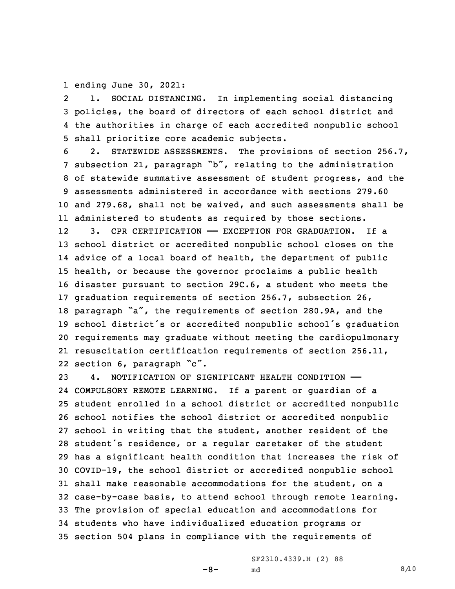1 ending June 30, 2021:

2 1. SOCIAL DISTANCING. In implementing social distancing 3 policies, the board of directors of each school district and 4 the authorities in charge of each accredited nonpublic school 5 shall prioritize core academic subjects.

 2. STATEWIDE ASSESSMENTS. The provisions of section 256.7, subsection 21, paragraph "b", relating to the administration of statewide summative assessment of student progress, and the assessments administered in accordance with sections 279.60 and 279.68, shall not be waived, and such assessments shall be administered to students as required by those sections.

12 3. CPR CERTIFICATION —— EXCEPTION FOR GRADUATION. If a school district or accredited nonpublic school closes on the advice of <sup>a</sup> local board of health, the department of public health, or because the governor proclaims <sup>a</sup> public health disaster pursuant to section 29C.6, <sup>a</sup> student who meets the graduation requirements of section 256.7, subsection 26, paragraph "a", the requirements of section 280.9A, and the school district's or accredited nonpublic school's graduation requirements may graduate without meeting the cardiopulmonary resuscitation certification requirements of section 256.11, section 6, paragraph "c".

 4. NOTIFICATION OF SIGNIFICANT HEALTH CONDITION —— COMPULSORY REMOTE LEARNING. If <sup>a</sup> parent or guardian of <sup>a</sup> student enrolled in <sup>a</sup> school district or accredited nonpublic school notifies the school district or accredited nonpublic school in writing that the student, another resident of the student's residence, or <sup>a</sup> regular caretaker of the student has <sup>a</sup> significant health condition that increases the risk of COVID-19, the school district or accredited nonpublic school shall make reasonable accommodations for the student, on <sup>a</sup> case-by-case basis, to attend school through remote learning. The provision of special education and accommodations for students who have individualized education programs or section 504 plans in compliance with the requirements of

-8-

SF2310.4339.H (2) 88 md  $8/10$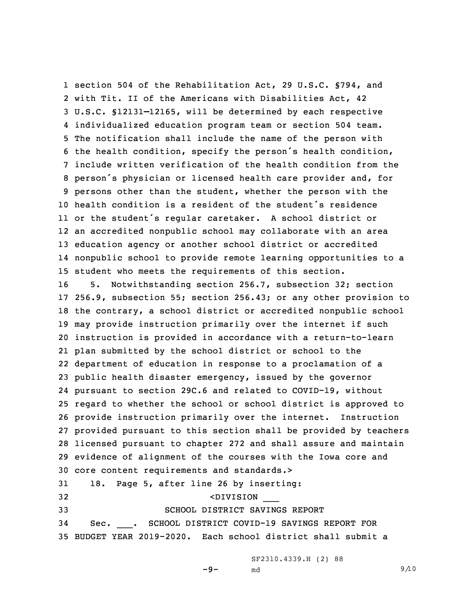section 504 of the Rehabilitation Act, 29 U.S.C. §794, and with Tit. II of the Americans with Disabilities Act, 42 U.S.C. §12131–12165, will be determined by each respective individualized education program team or section 504 team. The notification shall include the name of the person with the health condition, specify the person's health condition, include written verification of the health condition from the person's physician or licensed health care provider and, for persons other than the student, whether the person with the health condition is <sup>a</sup> resident of the student's residence or the student's regular caretaker. <sup>A</sup> school district or an accredited nonpublic school may collaborate with an area education agency or another school district or accredited nonpublic school to provide remote learning opportunities to <sup>a</sup> student who meets the requirements of this section.

 5. Notwithstanding section 256.7, subsection 32; section 256.9, subsection 55; section 256.43; or any other provision to the contrary, <sup>a</sup> school district or accredited nonpublic school may provide instruction primarily over the internet if such instruction is provided in accordance with <sup>a</sup> return-to-learn plan submitted by the school district or school to the department of education in response to <sup>a</sup> proclamation of <sup>a</sup> public health disaster emergency, issued by the governor pursuant to section 29C.6 and related to COVID-19, without regard to whether the school or school district is approved to provide instruction primarily over the internet. Instruction provided pursuant to this section shall be provided by teachers licensed pursuant to chapter 272 and shall assure and maintain evidence of alignment of the courses with the Iowa core and core content requirements and standards.> 18. Page 5, after line 26 by inserting:

 <DIVISION \_\_\_ SCHOOL DISTRICT SAVINGS REPORT Sec. \_\_\_. SCHOOL DISTRICT COVID-19 SAVINGS REPORT FOR BUDGET YEAR 2019-2020. Each school district shall submit <sup>a</sup>

SF2310.4339.H (2) 88

-9-

md  $9/10$